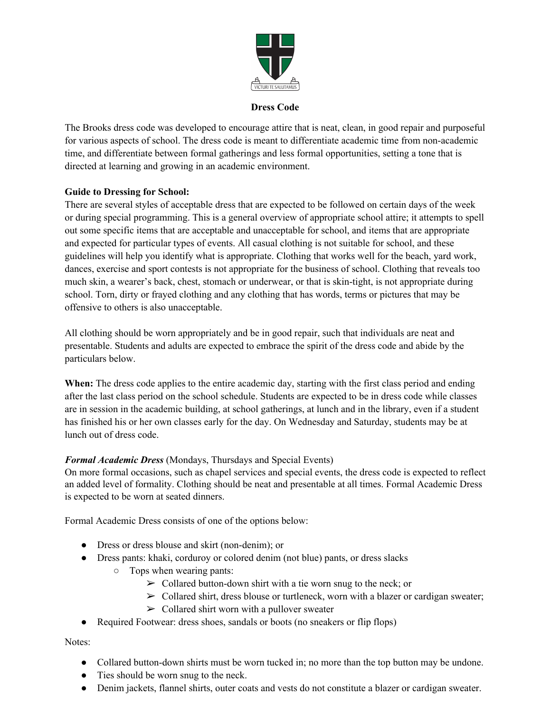

#### **Dress Code**

The Brooks dress code was developed to encourage attire that is neat, clean, in good repair and purposeful for various aspects of school. The dress code is meant to differentiate academic time from non-academic time, and differentiate between formal gatherings and less formal opportunities, setting a tone that is directed at learning and growing in an academic environment.

### **Guide to Dressing for School:**

There are several styles of acceptable dress that are expected to be followed on certain days of the week or during special programming. This is a general overview of appropriate school attire; it attempts to spell out some specific items that are acceptable and unacceptable for school, and items that are appropriate and expected for particular types of events. All casual clothing is not suitable for school, and these guidelines will help you identify what is appropriate. Clothing that works well for the beach, yard work, dances, exercise and sport contests is not appropriate for the business of school. Clothing that reveals too much skin, a wearer's back, chest, stomach or underwear, or that is skin-tight, is not appropriate during school. Torn, dirty or frayed clothing and any clothing that has words, terms or pictures that may be offensive to others is also unacceptable.

All clothing should be worn appropriately and be in good repair, such that individuals are neat and presentable. Students and adults are expected to embrace the spirit of the dress code and abide by the particulars below.

**When:** The dress code applies to the entire academic day, starting with the first class period and ending after the last class period on the school schedule. Students are expected to be in dress code while classes are in session in the academic building, at school gatherings, at lunch and in the library, even if a student has finished his or her own classes early for the day. On Wednesday and Saturday, students may be at lunch out of dress code.

## *Formal Academic Dress* (Mondays, Thursdays and Special Events)

On more formal occasions, such as chapel services and special events, the dress code is expected to reflect an added level of formality. Clothing should be neat and presentable at all times. Formal Academic Dress is expected to be worn at seated dinners.

Formal Academic Dress consists of one of the options below:

- Dress or dress blouse and skirt (non-denim); or
- Dress pants: khaki, corduroy or colored denim (not blue) pants, or dress slacks
	- Tops when wearing pants:
		- $\geq$  Collared button-down shirt with a tie worn snug to the neck; or
		- $\triangleright$  Collared shirt, dress blouse or turtleneck, worn with a blazer or cardigan sweater;
		- $\geq$  Collared shirt worn with a pullover sweater
- Required Footwear: dress shoes, sandals or boots (no sneakers or flip flops)

Notes:

- Collared button-down shirts must be worn tucked in; no more than the top button may be undone.
- Ties should be worn snug to the neck.
- Denim jackets, flannel shirts, outer coats and vests do not constitute a blazer or cardigan sweater.